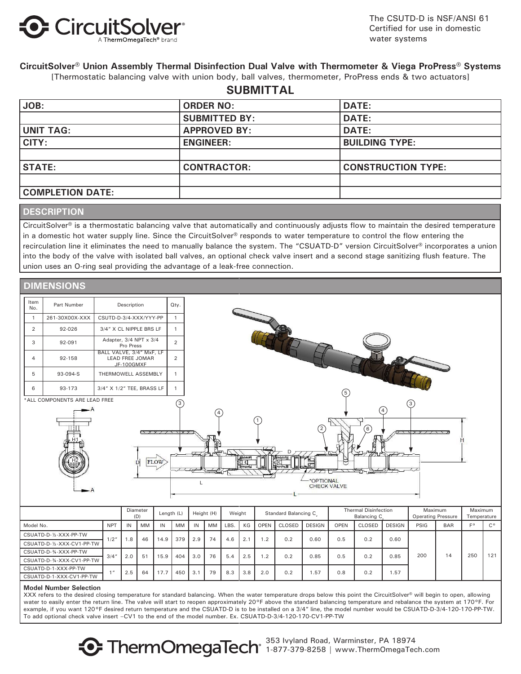

The CSUTD-D is NSF/ANSI 61 Certified for use in domestic water systems

### **CircuitSolver® Union Assembly Thermal Disinfection Dual Valve with Thermometer & Viega ProPress® Systems**

[Thermostatic balancing valve with union body, ball valves, thermometer, ProPress ends & two actuators]

### **SUBMITTAL**

| JOB:                    | <b>ORDER NO:</b>     | <b>DATE:</b>              |
|-------------------------|----------------------|---------------------------|
|                         | <b>SUBMITTED BY:</b> | <b>DATE:</b>              |
| <b>UNIT TAG:</b>        | <b>APPROVED BY:</b>  | <b>DATE:</b>              |
| CITY:                   | <b>ENGINEER:</b>     | <b>BUILDING TYPE:</b>     |
|                         |                      |                           |
| <b>STATE:</b>           | <b>CONTRACTOR:</b>   | <b>CONSTRUCTION TYPE:</b> |
|                         |                      |                           |
| <b>COMPLETION DATE:</b> |                      |                           |

### **DESCRIPTION**

CircuitSolver® is a thermostatic balancing valve that automatically and continuously adjusts flow to maintain the desired temperature in a domestic hot water supply line. Since the CircuitSolver® responds to water temperature to control the flow entering the recirculation line it eliminates the need to manually balance the system. The "CSUATD-D" version CircuitSolver® incorporates a union into the body of the valve with isolated ball valves, an optional check valve insert and a second stage sanitizing flush feature. The union uses an O-ring seal providing the advantage of a leak-free connection.



|                            |                 |     | (U) |      |           |     |    |            |     |             |        |               |             | Balancing C |               | Operating Pressure |            | i emperature |             |
|----------------------------|-----------------|-----|-----|------|-----------|-----|----|------------|-----|-------------|--------|---------------|-------------|-------------|---------------|--------------------|------------|--------------|-------------|
| Model No.                  | <b>NPT</b>      | IN  | MM  | IN   | <b>MM</b> | IN  | MM | <b>LBS</b> | КG  | <b>OPEN</b> | CLOSED | <b>DESIGN</b> | <b>OPEN</b> | CLOSED      | <b>DESIGN</b> | PSIG               | <b>BAR</b> | $E^{\circ}$  | $C^{\circ}$ |
| CSUATD-D-1/2-XXX-PP-TW     | 1/2"            | .8  | 46  | 14.9 | 379       | 2.9 | 74 | 4.6        | 2.1 | $\cdot$ .2  | 0.2    | 0.60          | 0.5         | 0.2         | 0.60          | 200                | 14         | 250          | 121         |
| CSUATD-D-1/2-XXX-CV1-PP-TW |                 |     |     |      |           |     |    |            |     |             |        |               |             |             |               |                    |            |              |             |
| CSUATD-D-34-XXX-PP-TW      | 3/4''           | 2.0 | 51  | 15.9 | 404       | 3.0 | 76 | 5.4        | 2.5 | $\cdot$ .2  | 0.2    | 0.85          | 0.5         | 0.2         | 0.85          |                    |            |              |             |
| CSUATD-D-34-XXX-CV1-PP-TW  |                 |     |     |      |           |     |    |            |     |             |        |               |             |             |               |                    |            |              |             |
| CSUATD-D-1-XXX-PP-TW       | 1 <sub>II</sub> | 2.5 | 64  | 17.7 | 450       | 3.1 | 79 | 8.3        | 3.8 | 2.0         | 0.2    | .57           | 0.8         | 0.2         | 1.57          |                    |            |              |             |
| CSUATD-D-1-XXX-CV1-PP-TW   |                 |     |     |      |           |     |    |            |     |             |        |               |             |             |               |                    |            |              |             |
|                            |                 |     |     |      |           |     |    |            |     |             |        |               |             |             |               |                    |            |              |             |

#### **Model Number Selection**

XXX refers to the desired closing temperature for standard balancing. When the water temperature drops below this point the CircuitSolver® will begin to open, allowing water to easily enter the return line. The valve will start to reopen approximately 20°F above the standard balancing temperature and rebalance the system at 170°F. For example, if you want 120°F desired return temperature and the CSUATD-D is to be installed on a 3/4" line, the model number would be CSUATD-D-3/4-120-170-PP-TW. To add optional check valve insert –CV1 to the end of the model number. Ex. CSUATD-D-3/4-120-170-CV1-PP-TW

> 353 Ivyland Road, Warminster, PA 18974 **1-877-379-8258 | www.ThermOmegaTech** 1-877-379-8258 | www.ThermOmegaTech.com